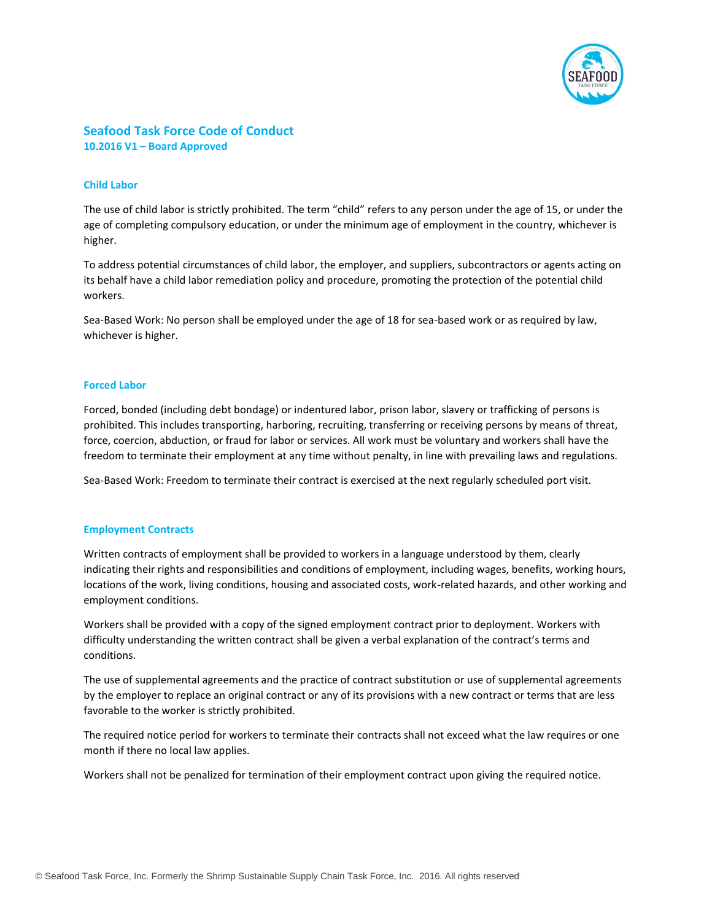

# **Seafood Task Force Code of Conduct 10.2016 V1 – Board Approved**

## **Child Labor**

The use of child labor is strictly prohibited. The term "child" refers to any person under the age of 15, or under the age of completing compulsory education, or under the minimum age of employment in the country, whichever is higher.

To address potential circumstances of child labor, the employer, and suppliers, subcontractors or agents acting on its behalf have a child labor remediation policy and procedure, promoting the protection of the potential child workers.

Sea-Based Work: No person shall be employed under the age of 18 for sea-based work or as required by law, whichever is higher.

## **Forced Labor**

Forced, bonded (including debt bondage) or indentured labor, prison labor, slavery or trafficking of persons is prohibited. This includes transporting, harboring, recruiting, transferring or receiving persons by means of threat, force, coercion, abduction, or fraud for labor or services. All work must be voluntary and workers shall have the freedom to terminate their employment at any time without penalty, in line with prevailing laws and regulations.

Sea-Based Work: Freedom to terminate their contract is exercised at the next regularly scheduled port visit.

## **Employment Contracts**

Written contracts of employment shall be provided to workers in a language understood by them, clearly indicating their rights and responsibilities and conditions of employment, including wages, benefits, working hours, locations of the work, living conditions, housing and associated costs, work-related hazards, and other working and employment conditions.

Workers shall be provided with a copy of the signed employment contract prior to deployment. Workers with difficulty understanding the written contract shall be given a verbal explanation of the contract's terms and conditions.

The use of supplemental agreements and the practice of contract substitution or use of supplemental agreements by the employer to replace an original contract or any of its provisions with a new contract or terms that are less favorable to the worker is strictly prohibited.

The required notice period for workers to terminate their contracts shall not exceed what the law requires or one month if there no local law applies.

Workers shall not be penalized for termination of their employment contract upon giving the required notice.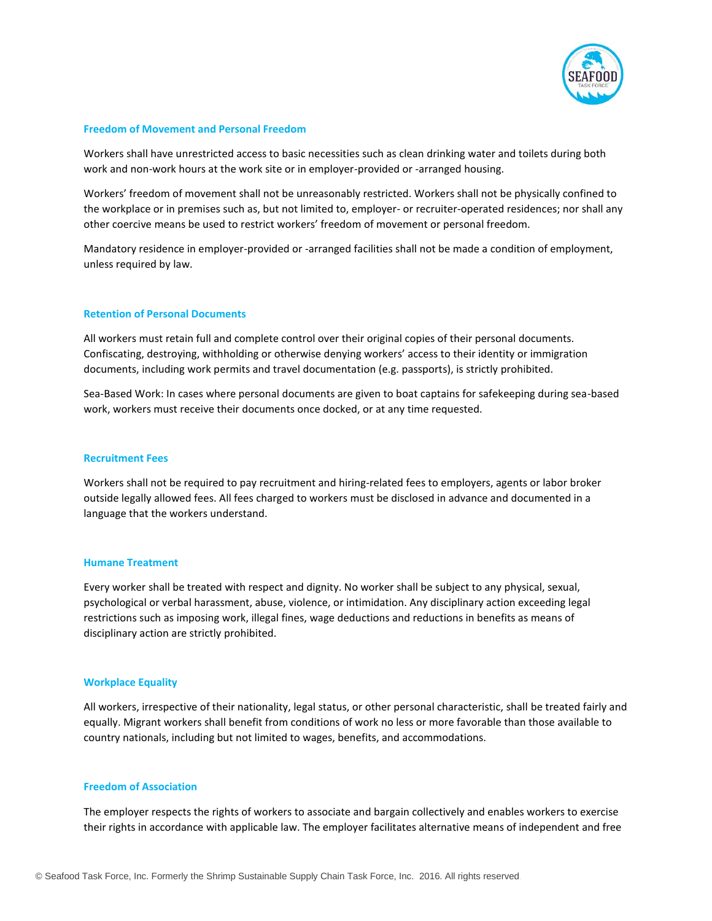

### **Freedom of Movement and Personal Freedom**

Workers shall have unrestricted access to basic necessities such as clean drinking water and toilets during both work and non-work hours at the work site or in employer-provided or -arranged housing.

Workers' freedom of movement shall not be unreasonably restricted. Workers shall not be physically confined to the workplace or in premises such as, but not limited to, employer- or recruiter-operated residences; nor shall any other coercive means be used to restrict workers' freedom of movement or personal freedom.

Mandatory residence in employer-provided or -arranged facilities shall not be made a condition of employment, unless required by law.

## **Retention of Personal Documents**

All workers must retain full and complete control over their original copies of their personal documents. Confiscating, destroying, withholding or otherwise denying workers' access to their identity or immigration documents, including work permits and travel documentation (e.g. passports), is strictly prohibited.

Sea-Based Work: In cases where personal documents are given to boat captains for safekeeping during sea-based work, workers must receive their documents once docked, or at any time requested.

#### **Recruitment Fees**

Workers shall not be required to pay recruitment and hiring-related fees to employers, agents or labor broker outside legally allowed fees. All fees charged to workers must be disclosed in advance and documented in a language that the workers understand.

#### **Humane Treatment**

Every worker shall be treated with respect and dignity. No worker shall be subject to any physical, sexual, psychological or verbal harassment, abuse, violence, or intimidation. Any disciplinary action exceeding legal restrictions such as imposing work, illegal fines, wage deductions and reductions in benefits as means of disciplinary action are strictly prohibited.

### **Workplace Equality**

All workers, irrespective of their nationality, legal status, or other personal characteristic, shall be treated fairly and equally. Migrant workers shall benefit from conditions of work no less or more favorable than those available to country nationals, including but not limited to wages, benefits, and accommodations.

## **Freedom of Association**

The employer respects the rights of workers to associate and bargain collectively and enables workers to exercise their rights in accordance with applicable law. The employer facilitates alternative means of independent and free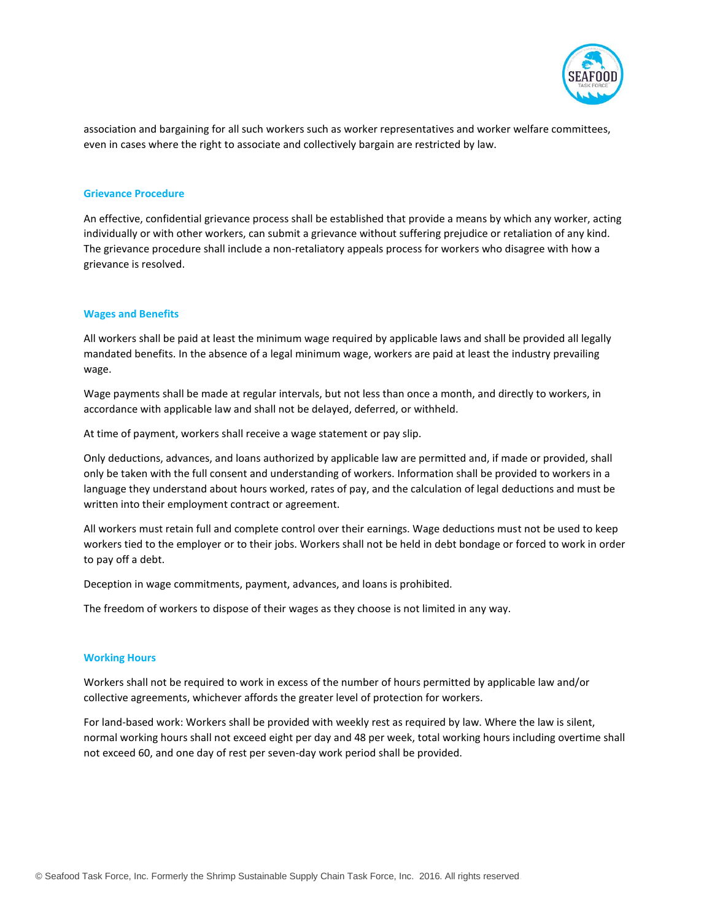

association and bargaining for all such workers such as worker representatives and worker welfare committees, even in cases where the right to associate and collectively bargain are restricted by law.

## **Grievance Procedure**

An effective, confidential grievance process shall be established that provide a means by which any worker, acting individually or with other workers, can submit a grievance without suffering prejudice or retaliation of any kind. The grievance procedure shall include a non-retaliatory appeals process for workers who disagree with how a grievance is resolved.

### **Wages and Benefits**

All workers shall be paid at least the minimum wage required by applicable laws and shall be provided all legally mandated benefits. In the absence of a legal minimum wage, workers are paid at least the industry prevailing wage.

Wage payments shall be made at regular intervals, but not less than once a month, and directly to workers, in accordance with applicable law and shall not be delayed, deferred, or withheld.

At time of payment, workers shall receive a wage statement or pay slip.

Only deductions, advances, and loans authorized by applicable law are permitted and, if made or provided, shall only be taken with the full consent and understanding of workers. Information shall be provided to workers in a language they understand about hours worked, rates of pay, and the calculation of legal deductions and must be written into their employment contract or agreement.

All workers must retain full and complete control over their earnings. Wage deductions must not be used to keep workers tied to the employer or to their jobs. Workers shall not be held in debt bondage or forced to work in order to pay off a debt.

Deception in wage commitments, payment, advances, and loans is prohibited.

The freedom of workers to dispose of their wages as they choose is not limited in any way.

#### **Working Hours**

Workers shall not be required to work in excess of the number of hours permitted by applicable law and/or collective agreements, whichever affords the greater level of protection for workers.

For land-based work: Workers shall be provided with weekly rest as required by law. Where the law is silent, normal working hours shall not exceed eight per day and 48 per week, total working hours including overtime shall not exceed 60, and one day of rest per seven-day work period shall be provided.